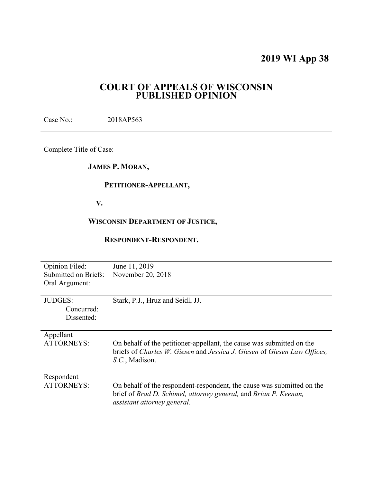# **2019 WI App 38**

# **COURT OF APPEALS OF WISCONSIN PUBLISHED OPINION**

Case No.: 2018AP563

Complete Title of Case:

# **JAMES P. MORAN,**

## **PETITIONER-APPELLANT,**

 **V.** 

## **WISCONSIN DEPARTMENT OF JUSTICE,**

## **RESPONDENT-RESPONDENT.**

| <b>Opinion Filed:</b> | June 11, 2019                                                                                                                                                             |
|-----------------------|---------------------------------------------------------------------------------------------------------------------------------------------------------------------------|
| Submitted on Briefs:  | November 20, 2018                                                                                                                                                         |
| Oral Argument:        |                                                                                                                                                                           |
|                       |                                                                                                                                                                           |
| <b>JUDGES:</b>        | Stark, P.J., Hruz and Seidl, JJ.                                                                                                                                          |
| Concurred:            |                                                                                                                                                                           |
| Dissented:            |                                                                                                                                                                           |
|                       |                                                                                                                                                                           |
| Appellant             |                                                                                                                                                                           |
| <b>ATTORNEYS:</b>     | On behalf of the petitioner-appellant, the cause was submitted on the<br>briefs of Charles W. Giesen and Jessica J. Giesen of Giesen Law Offices,<br>S.C., Madison.       |
| Respondent            |                                                                                                                                                                           |
| <b>ATTORNEYS:</b>     | On behalf of the respondent-respondent, the cause was submitted on the<br>brief of Brad D. Schimel, attorney general, and Brian P. Keenan,<br>assistant attorney general. |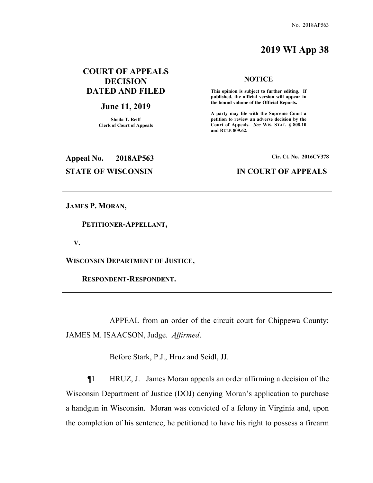# **2019 WI App 38**

# **COURT OF APPEALS DECISION DATED AND FILED**

#### **June 11, 2019**

**Sheila T. Reiff Clerk of Court of Appeals** 

#### **NOTICE**

 **This opinion is subject to further editing. If published, the official version will appear in the bound volume of the Official Reports.** 

**A party may file with the Supreme Court a petition to review an adverse decision by the Court of Appeals.** *See* **WIS. STAT. § 808.10 and RULE 809.62.** 

# **Appeal No. 2018AP563 Cir. Ct. No. 2016CV378 STATE OF WISCONSIN IN COURT OF APPEALS**

**JAMES P. MORAN,** 

 **PETITIONER-APPELLANT,** 

 **V.** 

**WISCONSIN DEPARTMENT OF JUSTICE,** 

 **RESPONDENT-RESPONDENT.** 

 APPEAL from an order of the circuit court for Chippewa County: JAMES M. ISAACSON, Judge. *Affirmed*.

Before Stark, P.J., Hruz and Seidl, JJ.

¶1 HRUZ, J. James Moran appeals an order affirming a decision of the Wisconsin Department of Justice (DOJ) denying Moran's application to purchase a handgun in Wisconsin. Moran was convicted of a felony in Virginia and, upon the completion of his sentence, he petitioned to have his right to possess a firearm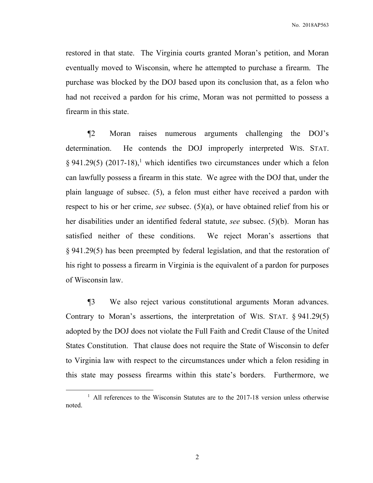restored in that state. The Virginia courts granted Moran's petition, and Moran eventually moved to Wisconsin, where he attempted to purchase a firearm. The purchase was blocked by the DOJ based upon its conclusion that, as a felon who had not received a pardon for his crime, Moran was not permitted to possess a firearm in this state.

¶2 Moran raises numerous arguments challenging the DOJ's determination. He contends the DOJ improperly interpreted WIS. STAT.  $\S 941.29(5)$  (2017-18),<sup>1</sup> which identifies two circumstances under which a felon can lawfully possess a firearm in this state. We agree with the DOJ that, under the plain language of subsec. (5), a felon must either have received a pardon with respect to his or her crime, *see* subsec. (5)(a), or have obtained relief from his or her disabilities under an identified federal statute, *see* subsec. (5)(b). Moran has satisfied neither of these conditions. We reject Moran's assertions that § 941.29(5) has been preempted by federal legislation, and that the restoration of his right to possess a firearm in Virginia is the equivalent of a pardon for purposes of Wisconsin law.

¶3 We also reject various constitutional arguments Moran advances. Contrary to Moran's assertions, the interpretation of WIS. STAT. § 941.29(5) adopted by the DOJ does not violate the Full Faith and Credit Clause of the United States Constitution. That clause does not require the State of Wisconsin to defer to Virginia law with respect to the circumstances under which a felon residing in this state may possess firearms within this state's borders. Furthermore, we

<sup>&</sup>lt;sup>1</sup> All references to the Wisconsin Statutes are to the 2017-18 version unless otherwise noted.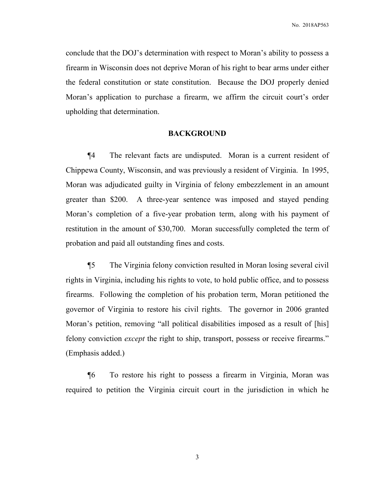conclude that the DOJ's determination with respect to Moran's ability to possess a firearm in Wisconsin does not deprive Moran of his right to bear arms under either the federal constitution or state constitution. Because the DOJ properly denied Moran's application to purchase a firearm, we affirm the circuit court's order upholding that determination.

#### **BACKGROUND**

 ¶4 The relevant facts are undisputed. Moran is a current resident of Chippewa County, Wisconsin, and was previously a resident of Virginia. In 1995, Moran was adjudicated guilty in Virginia of felony embezzlement in an amount greater than \$200. A three-year sentence was imposed and stayed pending Moran's completion of a five-year probation term, along with his payment of restitution in the amount of \$30,700. Moran successfully completed the term of probation and paid all outstanding fines and costs.

 ¶5 The Virginia felony conviction resulted in Moran losing several civil rights in Virginia, including his rights to vote, to hold public office, and to possess firearms. Following the completion of his probation term, Moran petitioned the governor of Virginia to restore his civil rights. The governor in 2006 granted Moran's petition, removing "all political disabilities imposed as a result of [his] felony conviction *except* the right to ship, transport, possess or receive firearms." (Emphasis added.)

 ¶6 To restore his right to possess a firearm in Virginia, Moran was required to petition the Virginia circuit court in the jurisdiction in which he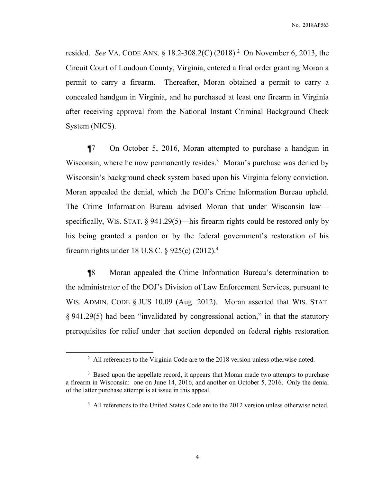resided. *See* VA. CODE ANN. § 18.2-308.2(C) (2018).<sup>2</sup> On November 6, 2013, the Circuit Court of Loudoun County, Virginia, entered a final order granting Moran a permit to carry a firearm. Thereafter, Moran obtained a permit to carry a concealed handgun in Virginia, and he purchased at least one firearm in Virginia after receiving approval from the National Instant Criminal Background Check System (NICS).

 ¶7 On October 5, 2016, Moran attempted to purchase a handgun in Wisconsin, where he now permanently resides.<sup>3</sup> Moran's purchase was denied by Wisconsin's background check system based upon his Virginia felony conviction. Moran appealed the denial, which the DOJ's Crime Information Bureau upheld. The Crime Information Bureau advised Moran that under Wisconsin law specifically, WIS. STAT. § 941.29(5)—his firearm rights could be restored only by his being granted a pardon or by the federal government's restoration of his firearm rights under 18 U.S.C. § 925(c)  $(2012)^4$ 

 ¶8 Moran appealed the Crime Information Bureau's determination to the administrator of the DOJ's Division of Law Enforcement Services, pursuant to WIS. ADMIN. CODE § JUS 10.09 (Aug. 2012). Moran asserted that WIS. STAT. § 941.29(5) had been "invalidated by congressional action," in that the statutory prerequisites for relief under that section depended on federal rights restoration

<sup>&</sup>lt;sup>2</sup> All references to the Virginia Code are to the 2018 version unless otherwise noted.

<sup>&</sup>lt;sup>3</sup> Based upon the appellate record, it appears that Moran made two attempts to purchase a firearm in Wisconsin: one on June 14, 2016, and another on October 5, 2016. Only the denial of the latter purchase attempt is at issue in this appeal.

<sup>&</sup>lt;sup>4</sup> All references to the United States Code are to the 2012 version unless otherwise noted.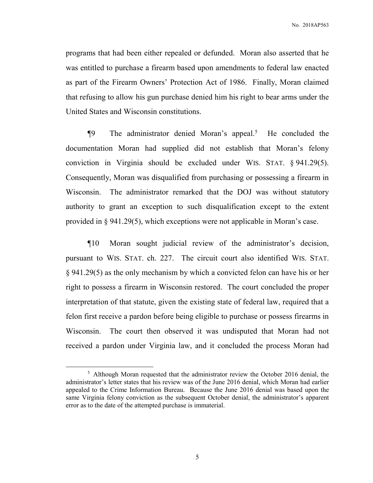programs that had been either repealed or defunded. Moran also asserted that he was entitled to purchase a firearm based upon amendments to federal law enacted as part of the Firearm Owners' Protection Act of 1986. Finally, Moran claimed that refusing to allow his gun purchase denied him his right to bear arms under the United States and Wisconsin constitutions.

 $\P 9$  The administrator denied Moran's appeal.<sup>5</sup> He concluded the documentation Moran had supplied did not establish that Moran's felony conviction in Virginia should be excluded under WIS. STAT. § 941.29(5). Consequently, Moran was disqualified from purchasing or possessing a firearm in Wisconsin. The administrator remarked that the DOJ was without statutory authority to grant an exception to such disqualification except to the extent provided in § 941.29(5), which exceptions were not applicable in Moran's case.

 ¶10 Moran sought judicial review of the administrator's decision, pursuant to WIS. STAT. ch. 227. The circuit court also identified WIS. STAT. § 941.29(5) as the only mechanism by which a convicted felon can have his or her right to possess a firearm in Wisconsin restored. The court concluded the proper interpretation of that statute, given the existing state of federal law, required that a felon first receive a pardon before being eligible to purchase or possess firearms in Wisconsin. The court then observed it was undisputed that Moran had not received a pardon under Virginia law, and it concluded the process Moran had

<sup>&</sup>lt;sup>5</sup> Although Moran requested that the administrator review the October 2016 denial, the administrator's letter states that his review was of the June 2016 denial, which Moran had earlier appealed to the Crime Information Bureau. Because the June 2016 denial was based upon the same Virginia felony conviction as the subsequent October denial, the administrator's apparent error as to the date of the attempted purchase is immaterial.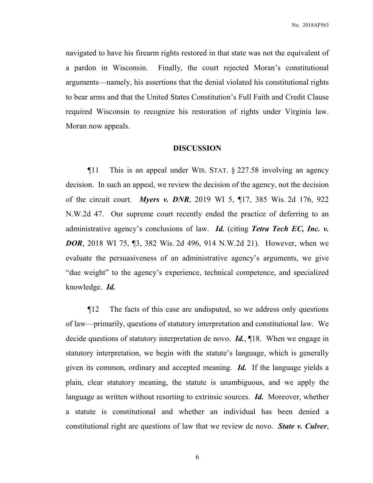navigated to have his firearm rights restored in that state was not the equivalent of a pardon in Wisconsin. Finally, the court rejected Moran's constitutional arguments—namely, his assertions that the denial violated his constitutional rights to bear arms and that the United States Constitution's Full Faith and Credit Clause required Wisconsin to recognize his restoration of rights under Virginia law. Moran now appeals.

### **DISCUSSION**

 ¶11 This is an appeal under WIS. STAT. § 227.58 involving an agency decision. In such an appeal, we review the decision of the agency, not the decision of the circuit court. *Myers v. DNR*, 2019 WI 5, ¶17, 385 Wis. 2d 176, 922 N.W.2d 47. Our supreme court recently ended the practice of deferring to an administrative agency's conclusions of law. *Id.* (citing *Tetra Tech EC, Inc. v. DOR*, 2018 WI 75, [3, 382 Wis. 2d 496, 914 N.W.2d 21). However, when we evaluate the persuasiveness of an administrative agency's arguments, we give "due weight" to the agency's experience, technical competence, and specialized knowledge. *Id.*

 ¶12 The facts of this case are undisputed, so we address only questions of law—primarily, questions of statutory interpretation and constitutional law. We decide questions of statutory interpretation de novo. *Id.*, ¶18. When we engage in statutory interpretation, we begin with the statute's language, which is generally given its common, ordinary and accepted meaning. *Id.* If the language yields a plain, clear statutory meaning, the statute is unambiguous, and we apply the language as written without resorting to extrinsic sources. *Id.* Moreover, whether a statute is constitutional and whether an individual has been denied a constitutional right are questions of law that we review de novo. *State v. Culver*,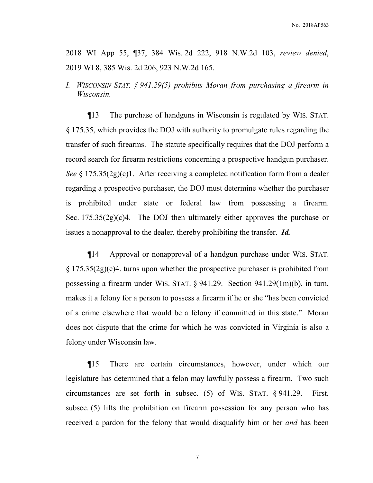2018 WI App 55, ¶37, 384 Wis. 2d 222, 918 N.W.2d 103, *review denied*, 2019 WI 8, 385 Wis. 2d 206, 923 N.W.2d 165.

*I. WISCONSIN STAT. § 941.29(5) prohibits Moran from purchasing a firearm in Wisconsin.*

 ¶13 The purchase of handguns in Wisconsin is regulated by WIS. STAT. § 175.35, which provides the DOJ with authority to promulgate rules regarding the transfer of such firearms. The statute specifically requires that the DOJ perform a record search for firearm restrictions concerning a prospective handgun purchaser. *See* § 175.35(2g)(c)1. After receiving a completed notification form from a dealer regarding a prospective purchaser, the DOJ must determine whether the purchaser is prohibited under state or federal law from possessing a firearm. Sec.  $175.35(2g)(c)4$ . The DOJ then ultimately either approves the purchase or issues a nonapproval to the dealer, thereby prohibiting the transfer. *Id.*

 ¶14 Approval or nonapproval of a handgun purchase under WIS. STAT. § 175.35(2g)(c)4. turns upon whether the prospective purchaser is prohibited from possessing a firearm under WIS. STAT. § 941.29. Section 941.29(1m)(b), in turn, makes it a felony for a person to possess a firearm if he or she "has been convicted of a crime elsewhere that would be a felony if committed in this state." Moran does not dispute that the crime for which he was convicted in Virginia is also a felony under Wisconsin law.

 ¶15 There are certain circumstances, however, under which our legislature has determined that a felon may lawfully possess a firearm. Two such circumstances are set forth in subsec. (5) of WIS. STAT. § 941.29. First, subsec. (5) lifts the prohibition on firearm possession for any person who has received a pardon for the felony that would disqualify him or her *and* has been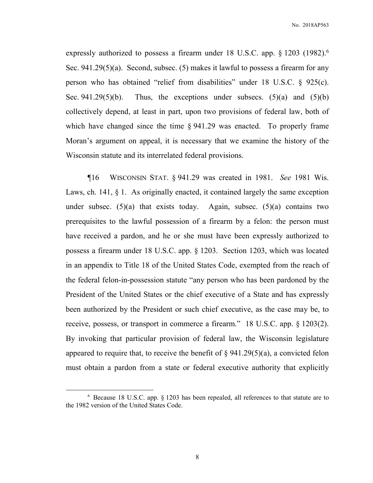expressly authorized to possess a firearm under 18 U.S.C. app. § 1203 (1982).<sup>6</sup> Sec. 941.29(5)(a). Second, subsec. (5) makes it lawful to possess a firearm for any person who has obtained "relief from disabilities" under 18 U.S.C. § 925(c). Sec. 941.29(5)(b). Thus, the exceptions under subsecs. (5)(a) and (5)(b) collectively depend, at least in part, upon two provisions of federal law, both of which have changed since the time § 941.29 was enacted. To properly frame Moran's argument on appeal, it is necessary that we examine the history of the Wisconsin statute and its interrelated federal provisions.

 ¶16 WISCONSIN STAT. § 941.29 was created in 1981. *See* 1981 Wis. Laws, ch. 141, § 1. As originally enacted, it contained largely the same exception under subsec.  $(5)(a)$  that exists today. Again, subsec.  $(5)(a)$  contains two prerequisites to the lawful possession of a firearm by a felon: the person must have received a pardon, and he or she must have been expressly authorized to possess a firearm under 18 U.S.C. app. § 1203. Section 1203, which was located in an appendix to Title 18 of the United States Code, exempted from the reach of the federal felon-in-possession statute "any person who has been pardoned by the President of the United States or the chief executive of a State and has expressly been authorized by the President or such chief executive, as the case may be, to receive, possess, or transport in commerce a firearm." 18 U.S.C. app. § 1203(2). By invoking that particular provision of federal law, the Wisconsin legislature appeared to require that, to receive the benefit of  $\S 941.29(5)(a)$ , a convicted felon must obtain a pardon from a state or federal executive authority that explicitly

<sup>6</sup> Because 18 U.S.C. app. § 1203 has been repealed, all references to that statute are to the 1982 version of the United States Code.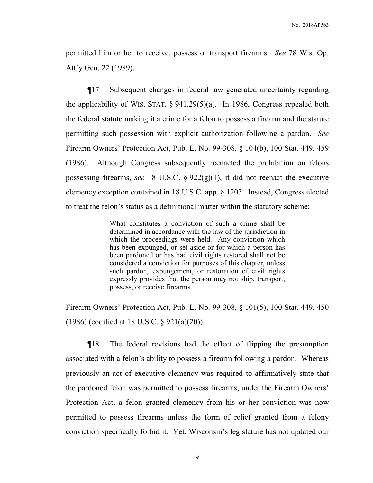permitted him or her to receive, possess or transport firearms. *See* 78 Wis. Op. Att'y Gen. 22 (1989).

 ¶17 Subsequent changes in federal law generated uncertainty regarding the applicability of WIS. STAT. § 941.29(5)(a). In 1986, Congress repealed both the federal statute making it a crime for a felon to possess a firearm and the statute permitting such possession with explicit authorization following a pardon. *See*  Firearm Owners' Protection Act, Pub. L. No. 99-308, § 104(b), 100 Stat. 449, 459 (1986). Although Congress subsequently reenacted the prohibition on felons possessing firearms, *see* 18 U.S.C. § 922(g)(1), it did not reenact the executive clemency exception contained in 18 U.S.C. app. § 1203. Instead, Congress elected to treat the felon's status as a definitional matter within the statutory scheme:

> What constitutes a conviction of such a crime shall be determined in accordance with the law of the jurisdiction in which the proceedings were held. Any conviction which has been expunged, or set aside or for which a person has been pardoned or has had civil rights restored shall not be considered a conviction for purposes of this chapter, unless such pardon, expungement, or restoration of civil rights expressly provides that the person may not ship, transport, possess, or receive firearms.

Firearm Owners' Protection Act, Pub. L. No. 99-308, § 101(5), 100 Stat. 449, 450 (1986) (codified at 18 U.S.C. § 921(a)(20)).

 ¶18 The federal revisions had the effect of flipping the presumption associated with a felon's ability to possess a firearm following a pardon. Whereas previously an act of executive clemency was required to affirmatively state that the pardoned felon was permitted to possess firearms, under the Firearm Owners' Protection Act, a felon granted clemency from his or her conviction was now permitted to possess firearms unless the form of relief granted from a felony conviction specifically forbid it. Yet, Wisconsin's legislature has not updated our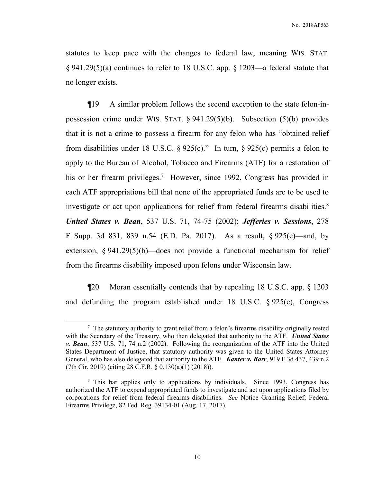statutes to keep pace with the changes to federal law, meaning WIS. STAT. § 941.29(5)(a) continues to refer to 18 U.S.C. app. § 1203—a federal statute that no longer exists.

 ¶19 A similar problem follows the second exception to the state felon-inpossession crime under WIS. STAT. § 941.29(5)(b). Subsection (5)(b) provides that it is not a crime to possess a firearm for any felon who has "obtained relief from disabilities under 18 U.S.C. § 925(c)." In turn, § 925(c) permits a felon to apply to the Bureau of Alcohol, Tobacco and Firearms (ATF) for a restoration of his or her firearm privileges.<sup>7</sup> However, since 1992, Congress has provided in each ATF appropriations bill that none of the appropriated funds are to be used to investigate or act upon applications for relief from federal firearms disabilities.<sup>8</sup> *United States v. Bean*, 537 U.S. 71, 74-75 (2002); *Jefferies v. Sessions*, 278 F. Supp. 3d 831, 839 n.54 (E.D. Pa. 2017). As a result, § 925(c)—and, by extension,  $\S 941.29(5)(b)$ —does not provide a functional mechanism for relief from the firearms disability imposed upon felons under Wisconsin law.

 ¶20 Moran essentially contends that by repealing 18 U.S.C. app. § 1203 and defunding the program established under 18 U.S.C. § 925(c), Congress

 $7$  The statutory authority to grant relief from a felon's firearms disability originally rested with the Secretary of the Treasury, who then delegated that authority to the ATF. *United States v. Bean*, 537 U.S. 71, 74 n.2 (2002). Following the reorganization of the ATF into the United States Department of Justice, that statutory authority was given to the United States Attorney General, who has also delegated that authority to the ATF. *Kanter v. Barr*, 919 F.3d 437, 439 n.2 (7th Cir. 2019) (citing 28 C.F.R. § 0.130(a)(1) (2018)).

<sup>&</sup>lt;sup>8</sup> This bar applies only to applications by individuals. Since 1993, Congress has authorized the ATF to expend appropriated funds to investigate and act upon applications filed by corporations for relief from federal firearms disabilities. *See* Notice Granting Relief; Federal Firearms Privilege, 82 Fed. Reg. 39134-01 (Aug. 17, 2017).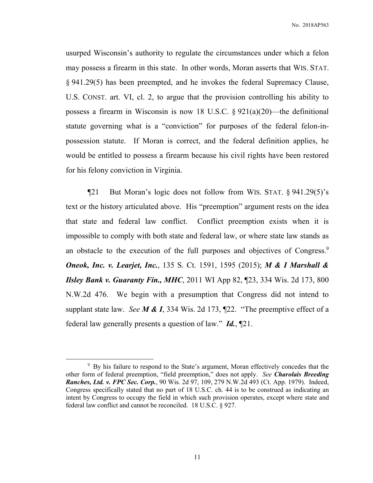usurped Wisconsin's authority to regulate the circumstances under which a felon may possess a firearm in this state. In other words, Moran asserts that WIS. STAT. § 941.29(5) has been preempted, and he invokes the federal Supremacy Clause, U.S. CONST. art. VI, cl. 2, to argue that the provision controlling his ability to possess a firearm in Wisconsin is now 18 U.S.C.  $\S 921(a)(20)$ —the definitional statute governing what is a "conviction" for purposes of the federal felon-inpossession statute. If Moran is correct, and the federal definition applies, he would be entitled to possess a firearm because his civil rights have been restored for his felony conviction in Virginia.

 ¶21 But Moran's logic does not follow from WIS. STAT. § 941.29(5)'s text or the history articulated above. His "preemption" argument rests on the idea that state and federal law conflict. Conflict preemption exists when it is impossible to comply with both state and federal law, or where state law stands as an obstacle to the execution of the full purposes and objectives of Congress.<sup>9</sup> *Oneok, Inc. v. Learjet, Inc.*, 135 S. Ct. 1591, 1595 (2015); *M & I Marshall & Ilsley Bank v. Guaranty Fin., MHC*, 2011 WI App 82, ¶23, 334 Wis. 2d 173, 800 N.W.2d 476. We begin with a presumption that Congress did not intend to supplant state law. *See M & I*, 334 Wis. 2d 173, ¶22. "The preemptive effect of a federal law generally presents a question of law." *Id.*, ¶21.

<sup>&</sup>lt;sup>9</sup> By his failure to respond to the State's argument, Moran effectively concedes that the other form of federal preemption, "field preemption," does not apply. *See Charolais Breeding Ranches, Ltd. v. FPC Sec. Corp.*, 90 Wis. 2d 97, 109, 279 N.W.2d 493 (Ct. App. 1979). Indeed, Congress specifically stated that no part of 18 U.S.C. ch. 44 is to be construed as indicating an intent by Congress to occupy the field in which such provision operates, except where state and federal law conflict and cannot be reconciled. 18 U.S.C. § 927.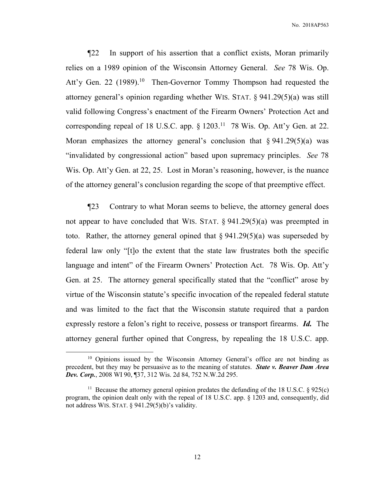¶22 In support of his assertion that a conflict exists, Moran primarily relies on a 1989 opinion of the Wisconsin Attorney General. *See* 78 Wis. Op. Att'y Gen. 22 (1989).<sup>10</sup> Then-Governor Tommy Thompson had requested the attorney general's opinion regarding whether WIS. STAT. § 941.29(5)(a) was still valid following Congress's enactment of the Firearm Owners' Protection Act and corresponding repeal of 18 U.S.C. app. § 1203.<sup>11</sup> 78 Wis. Op. Att'y Gen. at 22. Moran emphasizes the attorney general's conclusion that  $\S 941.29(5)(a)$  was "invalidated by congressional action" based upon supremacy principles. *See* 78 Wis. Op. Att'y Gen. at 22, 25. Lost in Moran's reasoning, however, is the nuance of the attorney general's conclusion regarding the scope of that preemptive effect.

 ¶23 Contrary to what Moran seems to believe, the attorney general does not appear to have concluded that WIS. STAT.  $\S$  941.29(5)(a) was preempted in toto. Rather, the attorney general opined that  $\S 941.29(5)(a)$  was superseded by federal law only "[t]o the extent that the state law frustrates both the specific language and intent" of the Firearm Owners' Protection Act. 78 Wis. Op. Att'y Gen. at 25. The attorney general specifically stated that the "conflict" arose by virtue of the Wisconsin statute's specific invocation of the repealed federal statute and was limited to the fact that the Wisconsin statute required that a pardon expressly restore a felon's right to receive, possess or transport firearms. *Id.* The attorney general further opined that Congress, by repealing the 18 U.S.C. app.

<sup>&</sup>lt;sup>10</sup> Opinions issued by the Wisconsin Attorney General's office are not binding as precedent, but they may be persuasive as to the meaning of statutes. *State v. Beaver Dam Area Dev. Corp.*, 2008 WI 90, ¶37, 312 Wis. 2d 84, 752 N.W.2d 295.

<sup>&</sup>lt;sup>11</sup> Because the attorney general opinion predates the defunding of the 18 U.S.C.  $\S$  925(c) program, the opinion dealt only with the repeal of 18 U.S.C. app. § 1203 and, consequently, did not address WIS. STAT. § 941.29(5)(b)'s validity.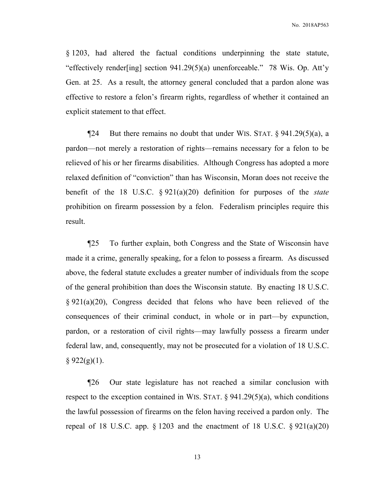§ 1203, had altered the factual conditions underpinning the state statute, "effectively render[ing] section 941.29(5)(a) unenforceable." 78 Wis. Op. Att'y Gen. at 25. As a result, the attorney general concluded that a pardon alone was effective to restore a felon's firearm rights, regardless of whether it contained an explicit statement to that effect.

 $\P$ 24 But there remains no doubt that under WIS. STAT. § 941.29(5)(a), a pardon—not merely a restoration of rights—remains necessary for a felon to be relieved of his or her firearms disabilities. Although Congress has adopted a more relaxed definition of "conviction" than has Wisconsin, Moran does not receive the benefit of the 18 U.S.C. § 921(a)(20) definition for purposes of the *state* prohibition on firearm possession by a felon. Federalism principles require this result.

 ¶25 To further explain, both Congress and the State of Wisconsin have made it a crime, generally speaking, for a felon to possess a firearm. As discussed above, the federal statute excludes a greater number of individuals from the scope of the general prohibition than does the Wisconsin statute. By enacting 18 U.S.C. § 921(a)(20), Congress decided that felons who have been relieved of the consequences of their criminal conduct, in whole or in part—by expunction, pardon, or a restoration of civil rights—may lawfully possess a firearm under federal law, and, consequently, may not be prosecuted for a violation of 18 U.S.C.  $§ 922(g)(1).$ 

 ¶26 Our state legislature has not reached a similar conclusion with respect to the exception contained in WIS. STAT.  $\S$  941.29(5)(a), which conditions the lawful possession of firearms on the felon having received a pardon only. The repeal of 18 U.S.C. app.  $\S 1203$  and the enactment of 18 U.S.C.  $\S 921(a)(20)$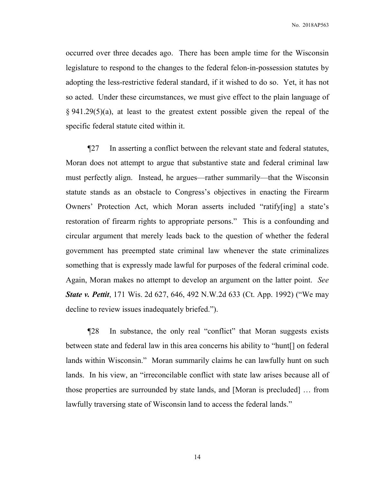occurred over three decades ago. There has been ample time for the Wisconsin legislature to respond to the changes to the federal felon-in-possession statutes by adopting the less-restrictive federal standard, if it wished to do so. Yet, it has not so acted. Under these circumstances, we must give effect to the plain language of § 941.29(5)(a), at least to the greatest extent possible given the repeal of the specific federal statute cited within it.

 ¶27 In asserting a conflict between the relevant state and federal statutes, Moran does not attempt to argue that substantive state and federal criminal law must perfectly align. Instead, he argues—rather summarily—that the Wisconsin statute stands as an obstacle to Congress's objectives in enacting the Firearm Owners' Protection Act, which Moran asserts included "ratify[ing] a state's restoration of firearm rights to appropriate persons." This is a confounding and circular argument that merely leads back to the question of whether the federal government has preempted state criminal law whenever the state criminalizes something that is expressly made lawful for purposes of the federal criminal code. Again, Moran makes no attempt to develop an argument on the latter point. *See State v. Pettit*, 171 Wis. 2d 627, 646, 492 N.W.2d 633 (Ct. App. 1992) ("We may decline to review issues inadequately briefed.").

 ¶28 In substance, the only real "conflict" that Moran suggests exists between state and federal law in this area concerns his ability to "hunt[] on federal lands within Wisconsin." Moran summarily claims he can lawfully hunt on such lands. In his view, an "irreconcilable conflict with state law arises because all of those properties are surrounded by state lands, and [Moran is precluded] … from lawfully traversing state of Wisconsin land to access the federal lands."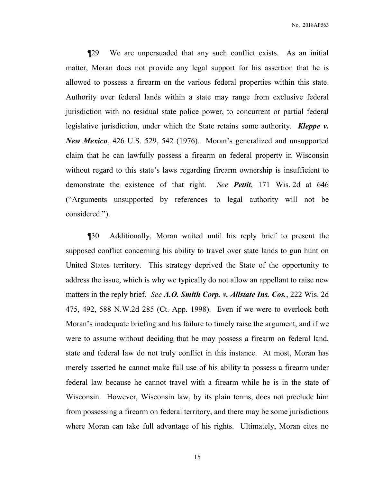¶29 We are unpersuaded that any such conflict exists. As an initial matter, Moran does not provide any legal support for his assertion that he is allowed to possess a firearm on the various federal properties within this state. Authority over federal lands within a state may range from exclusive federal jurisdiction with no residual state police power, to concurrent or partial federal legislative jurisdiction, under which the State retains some authority. *Kleppe v. New Mexico*, 426 U.S. 529, 542 (1976). Moran's generalized and unsupported claim that he can lawfully possess a firearm on federal property in Wisconsin without regard to this state's laws regarding firearm ownership is insufficient to demonstrate the existence of that right. *See Pettit*, 171 Wis. 2d at 646 ("Arguments unsupported by references to legal authority will not be considered.").

 ¶30 Additionally, Moran waited until his reply brief to present the supposed conflict concerning his ability to travel over state lands to gun hunt on United States territory. This strategy deprived the State of the opportunity to address the issue, which is why we typically do not allow an appellant to raise new matters in the reply brief. *See A.O. Smith Corp. v. Allstate Ins. Cos.*, 222 Wis. 2d 475, 492, 588 N.W.2d 285 (Ct. App. 1998). Even if we were to overlook both Moran's inadequate briefing and his failure to timely raise the argument, and if we were to assume without deciding that he may possess a firearm on federal land, state and federal law do not truly conflict in this instance. At most, Moran has merely asserted he cannot make full use of his ability to possess a firearm under federal law because he cannot travel with a firearm while he is in the state of Wisconsin. However, Wisconsin law, by its plain terms, does not preclude him from possessing a firearm on federal territory, and there may be some jurisdictions where Moran can take full advantage of his rights. Ultimately, Moran cites no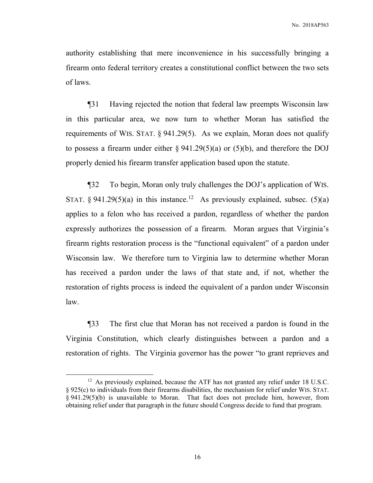authority establishing that mere inconvenience in his successfully bringing a firearm onto federal territory creates a constitutional conflict between the two sets of laws.

 ¶31 Having rejected the notion that federal law preempts Wisconsin law in this particular area, we now turn to whether Moran has satisfied the requirements of WIS. STAT.  $\S 941.29(5)$ . As we explain, Moran does not qualify to possess a firearm under either  $\S 941.29(5)(a)$  or (5)(b), and therefore the DOJ properly denied his firearm transfer application based upon the statute.

¶32 To begin, Moran only truly challenges the DOJ's application of WIS. STAT. § 941.29(5)(a) in this instance.<sup>12</sup> As previously explained, subsec. (5)(a) applies to a felon who has received a pardon, regardless of whether the pardon expressly authorizes the possession of a firearm. Moran argues that Virginia's firearm rights restoration process is the "functional equivalent" of a pardon under Wisconsin law. We therefore turn to Virginia law to determine whether Moran has received a pardon under the laws of that state and, if not, whether the restoration of rights process is indeed the equivalent of a pardon under Wisconsin law.

¶33 The first clue that Moran has not received a pardon is found in the Virginia Constitution, which clearly distinguishes between a pardon and a restoration of rights. The Virginia governor has the power "to grant reprieves and

 $\overline{a}$ 

<sup>&</sup>lt;sup>12</sup> As previously explained, because the ATF has not granted any relief under 18 U.S.C. § 925(c) to individuals from their firearms disabilities, the mechanism for relief under WIS. STAT. § 941.29(5)(b) is unavailable to Moran. That fact does not preclude him, however, from obtaining relief under that paragraph in the future should Congress decide to fund that program.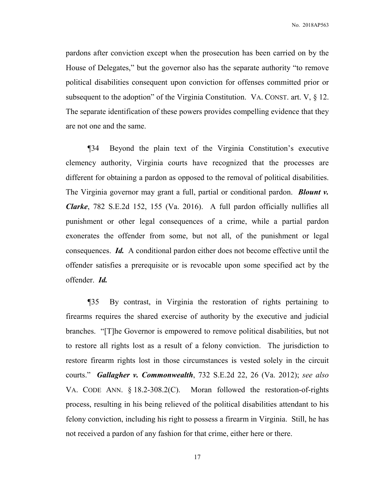pardons after conviction except when the prosecution has been carried on by the House of Delegates," but the governor also has the separate authority "to remove political disabilities consequent upon conviction for offenses committed prior or subsequent to the adoption" of the Virginia Constitution. VA. CONST. art. V,  $\S$  12. The separate identification of these powers provides compelling evidence that they are not one and the same.

¶34 Beyond the plain text of the Virginia Constitution's executive clemency authority, Virginia courts have recognized that the processes are different for obtaining a pardon as opposed to the removal of political disabilities. The Virginia governor may grant a full, partial or conditional pardon. *Blount v. Clarke*, 782 S.E.2d 152, 155 (Va. 2016). A full pardon officially nullifies all punishment or other legal consequences of a crime, while a partial pardon exonerates the offender from some, but not all, of the punishment or legal consequences. *Id.* A conditional pardon either does not become effective until the offender satisfies a prerequisite or is revocable upon some specified act by the offender. *Id.*

¶35 By contrast, in Virginia the restoration of rights pertaining to firearms requires the shared exercise of authority by the executive and judicial branches. "[T]he Governor is empowered to remove political disabilities, but not to restore all rights lost as a result of a felony conviction. The jurisdiction to restore firearm rights lost in those circumstances is vested solely in the circuit courts." *Gallagher v. Commonwealth*, 732 S.E.2d 22, 26 (Va. 2012); *see also*  VA. CODE ANN. § 18.2-308.2(C). Moran followed the restoration-of-rights process, resulting in his being relieved of the political disabilities attendant to his felony conviction, including his right to possess a firearm in Virginia. Still, he has not received a pardon of any fashion for that crime, either here or there.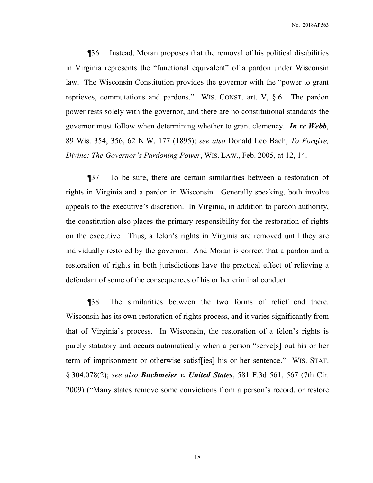¶36 Instead, Moran proposes that the removal of his political disabilities in Virginia represents the "functional equivalent" of a pardon under Wisconsin law. The Wisconsin Constitution provides the governor with the "power to grant reprieves, commutations and pardons." WIS. CONST. art. V, § 6. The pardon power rests solely with the governor, and there are no constitutional standards the governor must follow when determining whether to grant clemency. *In re Webb*, 89 Wis. 354, 356, 62 N.W. 177 (1895); *see also* Donald Leo Bach, *To Forgive, Divine: The Governor's Pardoning Power*, WIS. LAW., Feb. 2005, at 12, 14.

¶37 To be sure, there are certain similarities between a restoration of rights in Virginia and a pardon in Wisconsin. Generally speaking, both involve appeals to the executive's discretion. In Virginia, in addition to pardon authority, the constitution also places the primary responsibility for the restoration of rights on the executive. Thus, a felon's rights in Virginia are removed until they are individually restored by the governor. And Moran is correct that a pardon and a restoration of rights in both jurisdictions have the practical effect of relieving a defendant of some of the consequences of his or her criminal conduct.

¶38 The similarities between the two forms of relief end there. Wisconsin has its own restoration of rights process, and it varies significantly from that of Virginia's process. In Wisconsin, the restoration of a felon's rights is purely statutory and occurs automatically when a person "serve[s] out his or her term of imprisonment or otherwise satisf[ies] his or her sentence." WIS. STAT. § 304.078(2); *see also Buchmeier v. United States*, 581 F.3d 561, 567 (7th Cir. 2009) ("Many states remove some convictions from a person's record, or restore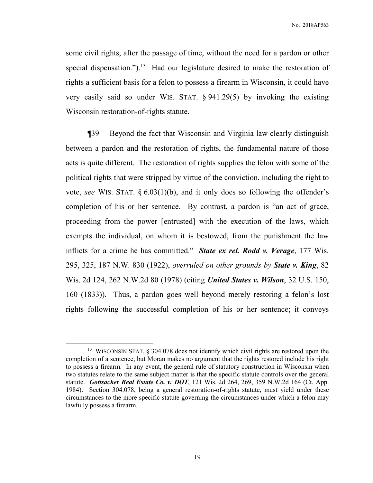some civil rights, after the passage of time, without the need for a pardon or other special dispensation.").<sup>13</sup> Had our legislature desired to make the restoration of rights a sufficient basis for a felon to possess a firearm in Wisconsin, it could have very easily said so under WIS. STAT. § 941.29(5) by invoking the existing Wisconsin restoration-of-rights statute.

¶39 Beyond the fact that Wisconsin and Virginia law clearly distinguish between a pardon and the restoration of rights, the fundamental nature of those acts is quite different. The restoration of rights supplies the felon with some of the political rights that were stripped by virtue of the conviction, including the right to vote, *see* WIS. STAT. § 6.03(1)(b), and it only does so following the offender's completion of his or her sentence. By contrast, a pardon is "an act of grace, proceeding from the power [entrusted] with the execution of the laws, which exempts the individual, on whom it is bestowed, from the punishment the law inflicts for a crime he has committed." *State ex rel. Rodd v. Verage*, 177 Wis. 295, 325, 187 N.W. 830 (1922), *overruled on other grounds by State v. King*, 82 Wis. 2d 124, 262 N.W.2d 80 (1978) (citing *United States v. Wilson*, 32 U.S. 150, 160 (1833)). Thus, a pardon goes well beyond merely restoring a felon's lost rights following the successful completion of his or her sentence; it conveys

<sup>&</sup>lt;sup>13</sup> WISCONSIN STAT. § 304.078 does not identify which civil rights are restored upon the completion of a sentence, but Moran makes no argument that the rights restored include his right to possess a firearm. In any event, the general rule of statutory construction in Wisconsin when two statutes relate to the same subject matter is that the specific statute controls over the general statute. *Gottsacker Real Estate Co. v. DOT*, 121 Wis. 2d 264, 269, 359 N.W.2d 164 (Ct. App. 1984). Section 304.078, being a general restoration-of-rights statute, must yield under these circumstances to the more specific statute governing the circumstances under which a felon may lawfully possess a firearm.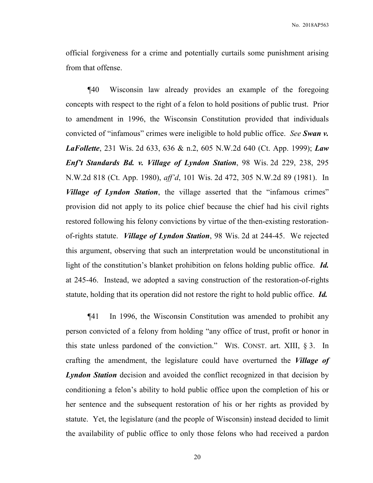official forgiveness for a crime and potentially curtails some punishment arising from that offense.

¶40 Wisconsin law already provides an example of the foregoing concepts with respect to the right of a felon to hold positions of public trust. Prior to amendment in 1996, the Wisconsin Constitution provided that individuals convicted of "infamous" crimes were ineligible to hold public office. *See Swan v. LaFollette*, 231 Wis. 2d 633, 636 & n.2, 605 N.W.2d 640 (Ct. App. 1999); *Law Enf't Standards Bd. v. Village of Lyndon Station*, 98 Wis. 2d 229, 238, 295 N.W.2d 818 (Ct. App. 1980), *aff'd*, 101 Wis. 2d 472, 305 N.W.2d 89 (1981). In *Village of Lyndon Station*, the village asserted that the "infamous crimes" provision did not apply to its police chief because the chief had his civil rights restored following his felony convictions by virtue of the then-existing restorationof-rights statute. *Village of Lyndon Station*, 98 Wis. 2d at 244-45. We rejected this argument, observing that such an interpretation would be unconstitutional in light of the constitution's blanket prohibition on felons holding public office. *Id.* at 245-46. Instead, we adopted a saving construction of the restoration-of-rights statute, holding that its operation did not restore the right to hold public office. *Id.*

¶41 In 1996, the Wisconsin Constitution was amended to prohibit any person convicted of a felony from holding "any office of trust, profit or honor in this state unless pardoned of the conviction." WIS. CONST. art. XIII, § 3. In crafting the amendment, the legislature could have overturned the *Village of Lyndon Station* decision and avoided the conflict recognized in that decision by conditioning a felon's ability to hold public office upon the completion of his or her sentence and the subsequent restoration of his or her rights as provided by statute. Yet, the legislature (and the people of Wisconsin) instead decided to limit the availability of public office to only those felons who had received a pardon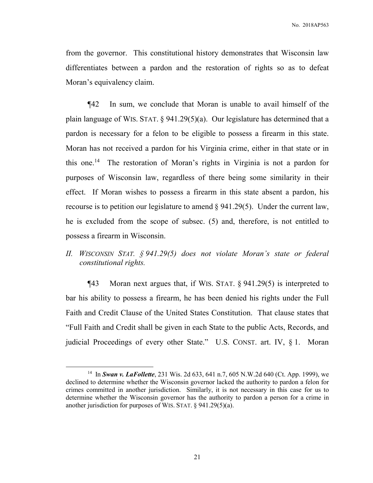from the governor. This constitutional history demonstrates that Wisconsin law differentiates between a pardon and the restoration of rights so as to defeat Moran's equivalency claim.

¶42 In sum, we conclude that Moran is unable to avail himself of the plain language of WIS. STAT. § 941.29(5)(a). Our legislature has determined that a pardon is necessary for a felon to be eligible to possess a firearm in this state. Moran has not received a pardon for his Virginia crime, either in that state or in this one.<sup>14</sup> The restoration of Moran's rights in Virginia is not a pardon for purposes of Wisconsin law, regardless of there being some similarity in their effect. If Moran wishes to possess a firearm in this state absent a pardon, his recourse is to petition our legislature to amend  $\S$  941.29(5). Under the current law, he is excluded from the scope of subsec. (5) and, therefore, is not entitled to possess a firearm in Wisconsin.

# *II. WISCONSIN STAT. § 941.29(5) does not violate Moran's state or federal constitutional rights.*

¶43 Moran next argues that, if WIS. STAT. § 941.29(5) is interpreted to bar his ability to possess a firearm, he has been denied his rights under the Full Faith and Credit Clause of the United States Constitution. That clause states that "Full Faith and Credit shall be given in each State to the public Acts, Records, and judicial Proceedings of every other State." U.S. CONST. art. IV, § 1. Moran

<sup>14</sup> In *Swan v. LaFollette*, 231 Wis. 2d 633, 641 n.7, 605 N.W.2d 640 (Ct. App. 1999), we declined to determine whether the Wisconsin governor lacked the authority to pardon a felon for crimes committed in another jurisdiction. Similarly, it is not necessary in this case for us to determine whether the Wisconsin governor has the authority to pardon a person for a crime in another jurisdiction for purposes of WIS. STAT. § 941.29(5)(a).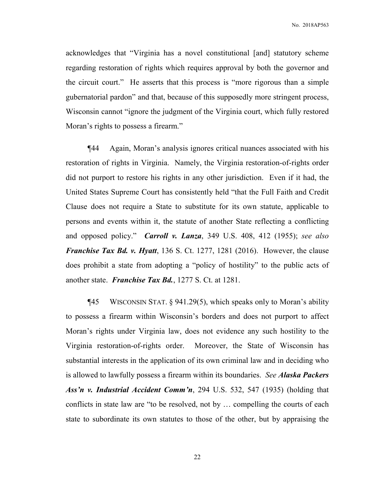acknowledges that "Virginia has a novel constitutional [and] statutory scheme regarding restoration of rights which requires approval by both the governor and the circuit court." He asserts that this process is "more rigorous than a simple gubernatorial pardon" and that, because of this supposedly more stringent process, Wisconsin cannot "ignore the judgment of the Virginia court, which fully restored Moran's rights to possess a firearm."

¶44 Again, Moran's analysis ignores critical nuances associated with his restoration of rights in Virginia. Namely, the Virginia restoration-of-rights order did not purport to restore his rights in any other jurisdiction. Even if it had, the United States Supreme Court has consistently held "that the Full Faith and Credit Clause does not require a State to substitute for its own statute, applicable to persons and events within it, the statute of another State reflecting a conflicting and opposed policy." *Carroll v. Lanza*, 349 U.S. 408, 412 (1955); *see also Franchise Tax Bd. v. Hyatt*, 136 S. Ct. 1277, 1281 (2016). However, the clause does prohibit a state from adopting a "policy of hostility" to the public acts of another state. *Franchise Tax Bd.*, 1277 S. Ct. at 1281.

¶45 WISCONSIN STAT. § 941.29(5), which speaks only to Moran's ability to possess a firearm within Wisconsin's borders and does not purport to affect Moran's rights under Virginia law, does not evidence any such hostility to the Virginia restoration-of-rights order. Moreover, the State of Wisconsin has substantial interests in the application of its own criminal law and in deciding who is allowed to lawfully possess a firearm within its boundaries. *See Alaska Packers Ass'n v. Industrial Accident Comm'n*, 294 U.S. 532, 547 (1935) (holding that conflicts in state law are "to be resolved, not by … compelling the courts of each state to subordinate its own statutes to those of the other, but by appraising the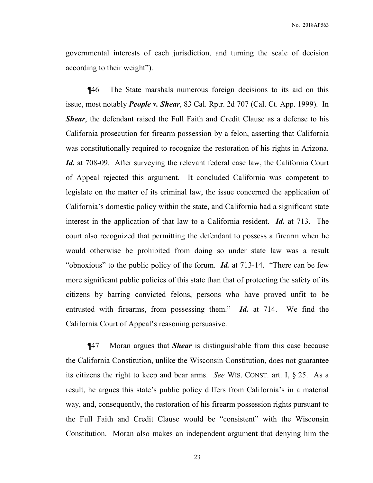governmental interests of each jurisdiction, and turning the scale of decision according to their weight").

¶46 The State marshals numerous foreign decisions to its aid on this issue, most notably *People v. Shear*, 83 Cal. Rptr. 2d 707 (Cal. Ct. App. 1999). In *Shear*, the defendant raised the Full Faith and Credit Clause as a defense to his California prosecution for firearm possession by a felon, asserting that California was constitutionally required to recognize the restoration of his rights in Arizona. *Id.* at 708-09. After surveying the relevant federal case law, the California Court of Appeal rejected this argument. It concluded California was competent to legislate on the matter of its criminal law, the issue concerned the application of California's domestic policy within the state, and California had a significant state interest in the application of that law to a California resident. *Id.* at 713. The court also recognized that permitting the defendant to possess a firearm when he would otherwise be prohibited from doing so under state law was a result "obnoxious" to the public policy of the forum. *Id.* at 713-14. "There can be few more significant public policies of this state than that of protecting the safety of its citizens by barring convicted felons, persons who have proved unfit to be entrusted with firearms, from possessing them." *Id.* at 714. We find the California Court of Appeal's reasoning persuasive.

¶47 Moran argues that *Shear* is distinguishable from this case because the California Constitution, unlike the Wisconsin Constitution, does not guarantee its citizens the right to keep and bear arms. *See* WIS. CONST. art. I, § 25. As a result, he argues this state's public policy differs from California's in a material way, and, consequently, the restoration of his firearm possession rights pursuant to the Full Faith and Credit Clause would be "consistent" with the Wisconsin Constitution. Moran also makes an independent argument that denying him the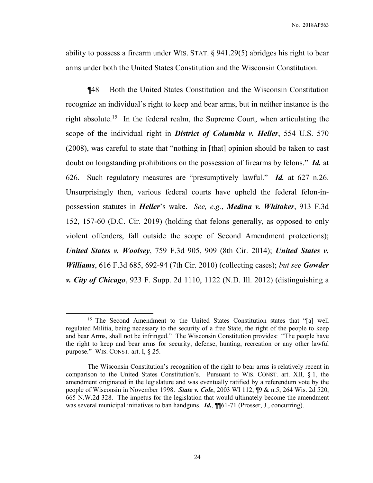ability to possess a firearm under WIS. STAT. § 941.29(5) abridges his right to bear arms under both the United States Constitution and the Wisconsin Constitution.

¶48 Both the United States Constitution and the Wisconsin Constitution recognize an individual's right to keep and bear arms, but in neither instance is the right absolute.<sup>15</sup> In the federal realm, the Supreme Court, when articulating the scope of the individual right in *District of Columbia v. Heller*, 554 U.S. 570 (2008), was careful to state that "nothing in [that] opinion should be taken to cast doubt on longstanding prohibitions on the possession of firearms by felons." *Id.* at 626. Such regulatory measures are "presumptively lawful." *Id.* at 627 n.26. Unsurprisingly then, various federal courts have upheld the federal felon-inpossession statutes in *Heller*'s wake. *See, e.g.*, *Medina v. Whitaker*, 913 F.3d 152, 157-60 (D.C. Cir. 2019) (holding that felons generally, as opposed to only violent offenders, fall outside the scope of Second Amendment protections); *United States v. Woolsey*, 759 F.3d 905, 909 (8th Cir. 2014); *United States v. Williams*, 616 F.3d 685, 692-94 (7th Cir. 2010) (collecting cases); *but see Gowder v. City of Chicago*, 923 F. Supp. 2d 1110, 1122 (N.D. Ill. 2012) (distinguishing a

<sup>&</sup>lt;sup>15</sup> The Second Amendment to the United States Constitution states that "[a] well regulated Militia, being necessary to the security of a free State, the right of the people to keep and bear Arms, shall not be infringed." The Wisconsin Constitution provides: "The people have the right to keep and bear arms for security, defense, hunting, recreation or any other lawful purpose." WIS. CONST. art. I, § 25.

The Wisconsin Constitution's recognition of the right to bear arms is relatively recent in comparison to the United States Constitution's. Pursuant to WIS. CONST. art. XII, § 1, the amendment originated in the legislature and was eventually ratified by a referendum vote by the people of Wisconsin in November 1998. *State v. Cole*, 2003 WI 112, ¶9 & n.5, 264 Wis. 2d 520, 665 N.W.2d 328. The impetus for the legislation that would ultimately become the amendment was several municipal initiatives to ban handguns. *Id.*, ¶¶61-71 (Prosser, J., concurring).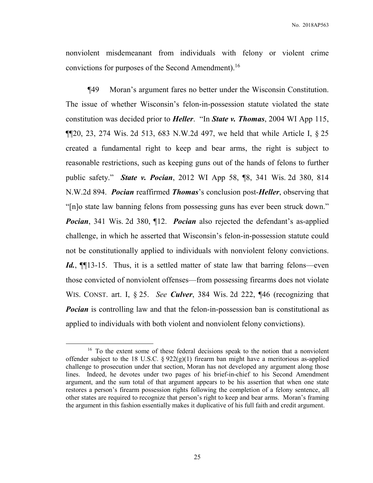nonviolent misdemeanant from individuals with felony or violent crime convictions for purposes of the Second Amendment).<sup>16</sup>

¶49 Moran's argument fares no better under the Wisconsin Constitution. The issue of whether Wisconsin's felon-in-possession statute violated the state constitution was decided prior to *Heller*. "In *State v. Thomas*, 2004 WI App 115,  $\P$ [20, 23, 274 Wis. 2d 513, 683 N.W.2d 497, we held that while Article I, § 25 created a fundamental right to keep and bear arms, the right is subject to reasonable restrictions, such as keeping guns out of the hands of felons to further public safety." *State v. Pocian*, 2012 WI App 58, ¶8, 341 Wis. 2d 380, 814 N.W.2d 894. *Pocian* reaffirmed *Thomas*'s conclusion post-*Heller*, observing that "[n]o state law banning felons from possessing guns has ever been struck down." *Pocian*, 341 Wis. 2d 380, ¶12. *Pocian* also rejected the defendant's as-applied challenge, in which he asserted that Wisconsin's felon-in-possession statute could not be constitutionally applied to individuals with nonviolent felony convictions. *Id.*, **[1**] 13-15. Thus, it is a settled matter of state law that barring felons—even those convicted of nonviolent offenses—from possessing firearms does not violate WIS. CONST. art. I, § 25. *See Culver*, 384 Wis. 2d 222, ¶46 (recognizing that *Pocian* is controlling law and that the felon-in-possession ban is constitutional as applied to individuals with both violent and nonviolent felony convictions).

<sup>&</sup>lt;sup>16</sup> To the extent some of these federal decisions speak to the notion that a nonviolent offender subject to the 18 U.S.C. §  $922(g)(1)$  firearm ban might have a meritorious as-applied challenge to prosecution under that section, Moran has not developed any argument along those lines. Indeed, he devotes under two pages of his brief-in-chief to his Second Amendment argument, and the sum total of that argument appears to be his assertion that when one state restores a person's firearm possession rights following the completion of a felony sentence, all other states are required to recognize that person's right to keep and bear arms. Moran's framing the argument in this fashion essentially makes it duplicative of his full faith and credit argument.